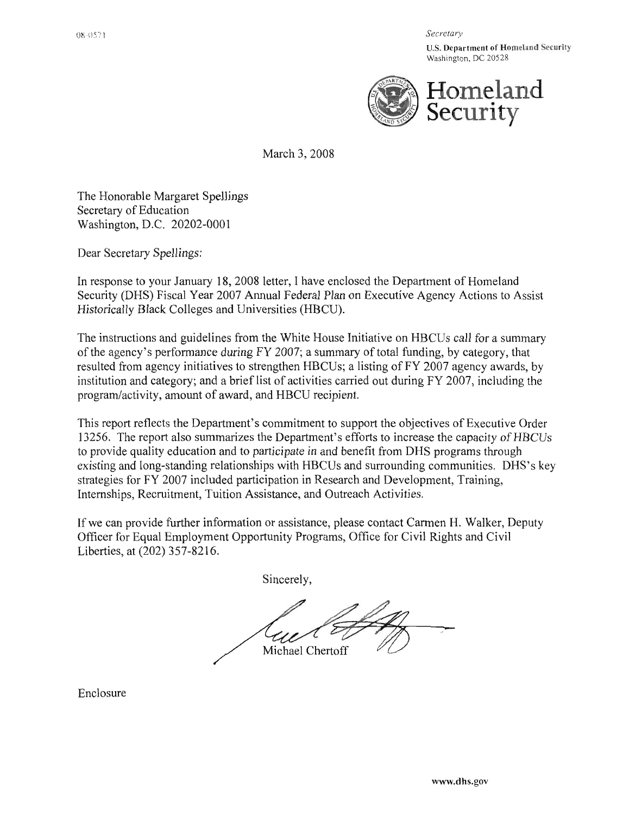Secretary

**U.S. Department of Homeland Security** Washington, DC 20528



March 3, 2008

The Honorable Margaret Spellings Secretary of Education Washington, D.C. 20202-0001

Dear Secretary Spellings:

In response to your January 18, 2008 letter, I have enclosed the Department of Homeland Security (DHS) Fiscal Year 2007 Annual Federal Plan on Executive Agency Actions to Assist Historically Black Colleges and Universities (HBCU).

The instructions and guidelines from the White House Initiative on HBCUs call for a summary of the agency's performance during FY 2007; a summary of total funding, by category, that resulted from agency initiatives to strengthen HBCUs; a listing of FY 2007 agency awards, by institution and category; and a brief list of activities carried out during FY 2007, including the program/activity, amount of award, and HBCU recipient.

This report reflects the Department's commitment to support the objectives of Executive Order 13256. The report also summarizes the Department's efforts to increase the capacity of HBCUs to provide quality education and to participate in and benefit from DHS programs through existing and long-standing relationships with HBCUs and surrounding communities. DHS's key strategies for FY 2007 included participation in Research and Development, Training, Internships, Recruitment, Tuition Assistance, and Outreach Activities.

If we can provide further information or assistance, please contact Carmen H. Walker, Deputy Officer for Equal Employment Opportunity Programs, Office for Civil Rights and Civil Liberties, at (202) 357-8216.

Sincerely,

Michael Chertoff

Enclosure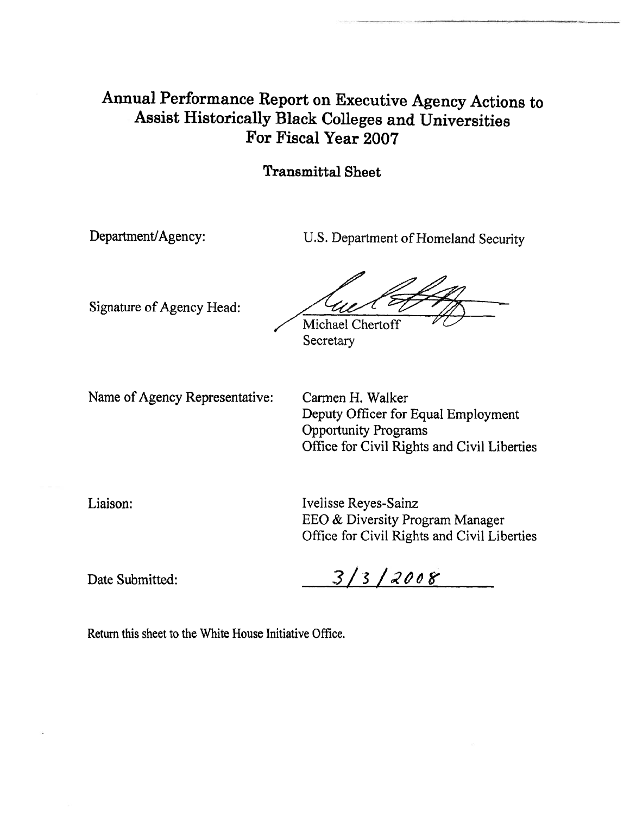# Annual Performance Report on Executive Agency Actions to Assist Historically Black Colleges and Universities For Fiscal Year 2007

#### **Transmittal Sheet**

Department/Agency:

U.S. Department of Homeland Security

Signature of Agency Head:

Michael Chertoff

Secretary

Name of Agency Representative:

Carmen H. Walker Deputy Officer for Equal Employment **Opportunity Programs** Office for Civil Rights and Civil Liberties

Liaison:

Ivelisse Reyes-Sainz EEO & Diversity Program Manager Office for Civil Rights and Civil Liberties

Date Submitted:

 $3/3/2008$ 

Return this sheet to the White House Initiative Office.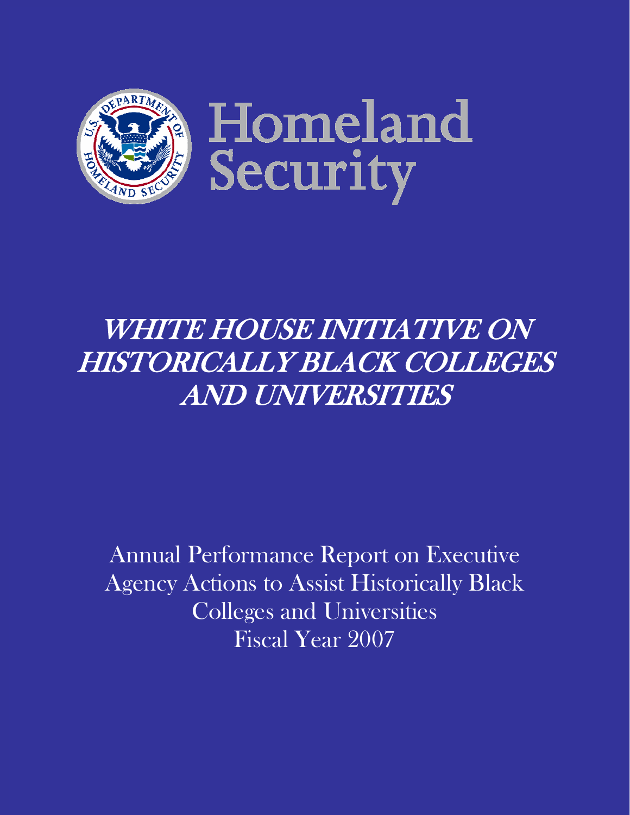

# WHITE HOUSE INITIATIVE ON HISTORICALLY BLACK COLLEGES AND UNIVERSITIES

Annual Performance Report on Executive Agency Actions to Assist Historically Black Colleges and Universities Fiscal Year 2007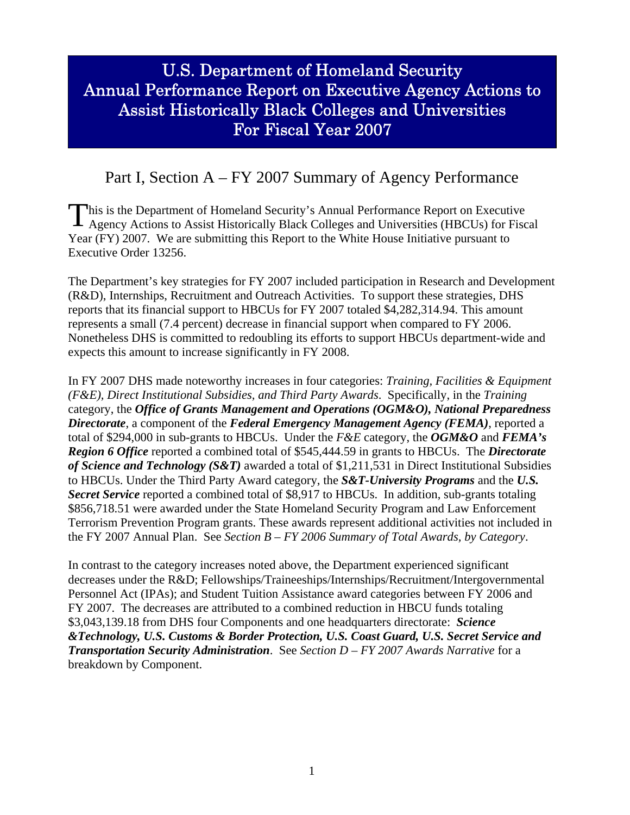# U.S. Department of Homeland Security Annual Performance Report on Executive Agency Actions to Assist Historically Black Colleges and Universities For Fiscal Year 2007

# Part I, Section A – FY 2007 Summary of Agency Performance

his is the Department of Homeland Security's Annual Performance Report on Executive This is the Department of Homeland Security's Annual Performance Report on Executive<br>Agency Actions to Assist Historically Black Colleges and Universities (HBCUs) for Fiscal Year (FY) 2007. We are submitting this Report to the White House Initiative pursuant to Executive Order 13256.

The Department's key strategies for FY 2007 included participation in Research and Development (R&D), Internships, Recruitment and Outreach Activities. To support these strategies, DHS reports that its financial support to HBCUs for FY 2007 totaled \$4,282,314.94. This amount represents a small (7.4 percent) decrease in financial support when compared to FY 2006. Nonetheless DHS is committed to redoubling its efforts to support HBCUs department-wide and expects this amount to increase significantly in FY 2008.

In FY 2007 DHS made noteworthy increases in four categories: *Training, Facilities & Equipment (F&E), Direct Institutional Subsidies, and Third Party Awards*. Specifically, in the *Training* category, the *Office of Grants Management and Operations (OGM&O), National Preparedness Directorate*, a component of the *Federal Emergency Management Agency (FEMA)*, reported a total of \$294,000 in sub-grants to HBCUs. Under the *F&E* category, the *OGM&O* and *FEMA's Region 6 Office* reported a combined total of \$545,444.59 in grants to HBCUs. The *Directorate of Science and Technology (S&T)* awarded a total of \$1,211,531 in Direct Institutional Subsidies to HBCUs. Under the Third Party Award category, the *S&T-University Programs* and the *U.S. Secret Service* reported a combined total of \$8,917 to HBCUs. In addition, sub-grants totaling \$856,718.51 were awarded under the State Homeland Security Program and Law Enforcement Terrorism Prevention Program grants. These awards represent additional activities not included in the FY 2007 Annual Plan. See *Section B – FY 2006 Summary of Total Awards, by Category*.

In contrast to the category increases noted above, the Department experienced significant decreases under the R&D; Fellowships/Traineeships/Internships/Recruitment/Intergovernmental Personnel Act (IPAs); and Student Tuition Assistance award categories between FY 2006 and FY 2007. The decreases are attributed to a combined reduction in HBCU funds totaling \$3,043,139.18 from DHS four Components and one headquarters directorate: *Science &Technology, U.S. Customs & Border Protection, U.S. Coast Guard, U.S. Secret Service and Transportation Security Administration*. See *Section D – FY 2007 Awards Narrative* for a breakdown by Component.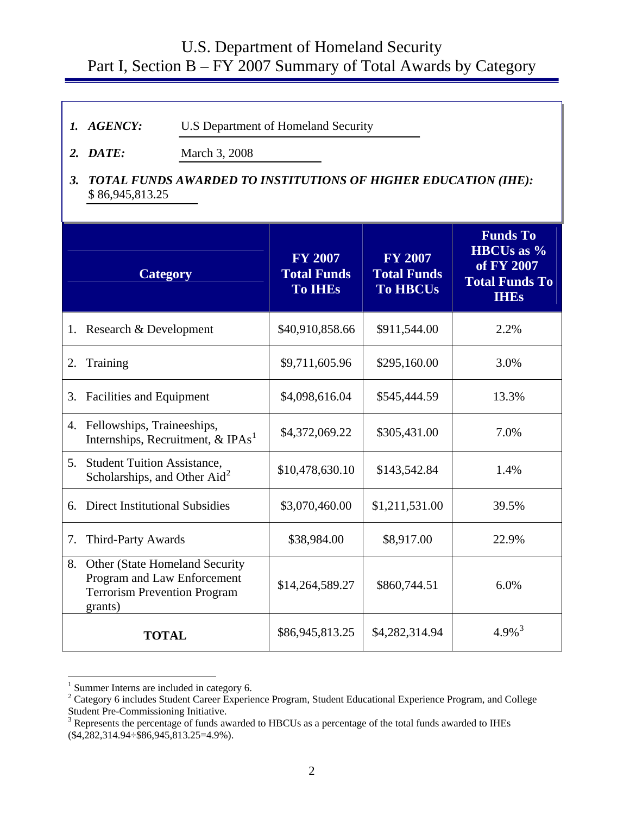# U.S. Department of Homeland Security Part I, Section B – FY 2007 Summary of Total Awards by Category

- *1. AGENCY:* U.S Department of Homeland Security
- **2. DATE:** March 3, 2008
- *3. TOTAL FUNDS AWARDED TO INSTITUTIONS OF HIGHER EDUCATION (IHE):* \$ 86,945,813.25

|    | <b>Category</b>                                                                                                 | <b>FY 2007</b><br><b>Total Funds</b><br><b>To IHES</b> | <b>FY 2007</b><br><b>Total Funds</b><br><b>To HBCUs</b> | <b>Funds To</b><br><b>HBCUs</b> as %<br>of FY 2007<br><b>Total Funds To</b><br><b>IHEs</b> |
|----|-----------------------------------------------------------------------------------------------------------------|--------------------------------------------------------|---------------------------------------------------------|--------------------------------------------------------------------------------------------|
| 1. | Research & Development                                                                                          | \$40,910,858.66                                        | \$911,544.00                                            | 2.2%                                                                                       |
| 2. | Training                                                                                                        | \$9,711,605.96                                         | \$295,160.00                                            | 3.0%                                                                                       |
| 3. | <b>Facilities and Equipment</b>                                                                                 | \$4,098,616.04                                         | \$545,444.59                                            | 13.3%                                                                                      |
|    | 4. Fellowships, Traineeships,<br>Internships, Recruitment, & IPAs <sup>1</sup>                                  | \$4,372,069.22                                         | \$305,431.00                                            | 7.0%                                                                                       |
|    | 5. Student Tuition Assistance,<br>Scholarships, and Other Aid <sup>2</sup>                                      | \$10,478,630.10                                        | \$143,542.84                                            | 1.4%                                                                                       |
| 6. | <b>Direct Institutional Subsidies</b>                                                                           | \$3,070,460.00                                         | \$1,211,531.00                                          | 39.5%                                                                                      |
| 7. | Third-Party Awards                                                                                              | \$38,984.00                                            | \$8,917.00                                              | 22.9%                                                                                      |
| 8. | Other (State Homeland Security<br>Program and Law Enforcement<br><b>Terrorism Prevention Program</b><br>grants) | \$14,264,589.27                                        | \$860,744.51                                            | 6.0%                                                                                       |
|    | <b>TOTAL</b>                                                                                                    | \$86,945,813.25                                        | \$4,282,314.94                                          | $4.9\%$ <sup>3</sup>                                                                       |

<sup>&</sup>lt;sup>1</sup> Summer Interns are included in category 6.<br> $2 \cdot \text{Ceterson: } \text{6}$  includes Student Cereer Experies

1

<span id="page-4-1"></span><span id="page-4-0"></span><sup>&</sup>lt;sup>2</sup> Category 6 includes Student Career Experience Program, Student Educational Experience Program, and College

<span id="page-4-2"></span>Student Pre-Commissioning Initiative.<br><sup>3</sup> Represents the percentage of funds awarded to HBCUs as a percentage of the total funds awarded to IHEs (\$4,282,314.94÷\$86,945,813.25=4.9%).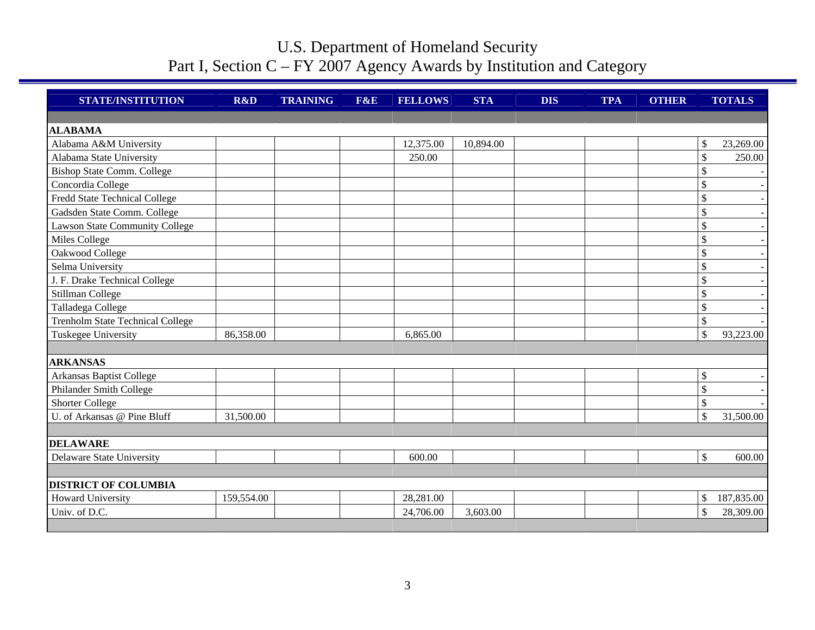| <b>STATE/INSTITUTION</b>                | R&D        | <b>TRAINING</b> | <b>F&amp;E</b> | <b>FELLOWS</b> | <b>STA</b> | <b>DIS</b> | <b>TPA</b> | <b>OTHER</b> |               | <b>TOTALS</b> |
|-----------------------------------------|------------|-----------------|----------------|----------------|------------|------------|------------|--------------|---------------|---------------|
|                                         |            |                 |                |                |            |            |            |              |               |               |
| <b>ALABAMA</b>                          |            |                 |                |                |            |            |            |              |               |               |
| Alabama A&M University                  |            |                 |                | 12,375.00      | 10,894.00  |            |            |              | \$            | 23,269.00     |
| Alabama State University                |            |                 |                | 250.00         |            |            |            |              | \$            | 250.00        |
| <b>Bishop State Comm. College</b>       |            |                 |                |                |            |            |            |              | \$            |               |
| Concordia College                       |            |                 |                |                |            |            |            |              | \$            |               |
| Fredd State Technical College           |            |                 |                |                |            |            |            |              | $\mathcal{S}$ |               |
| Gadsden State Comm. College             |            |                 |                |                |            |            |            |              | \$            |               |
| <b>Lawson State Community College</b>   |            |                 |                |                |            |            |            |              | \$            |               |
| Miles College                           |            |                 |                |                |            |            |            |              | \$            |               |
| Oakwood College                         |            |                 |                |                |            |            |            |              | \$            |               |
| Selma University                        |            |                 |                |                |            |            |            |              | \$            |               |
| J. F. Drake Technical College           |            |                 |                |                |            |            |            |              | \$            |               |
| Stillman College                        |            |                 |                |                |            |            |            |              | \$            |               |
| Talladega College                       |            |                 |                |                |            |            |            |              | \$            |               |
| <b>Trenholm State Technical College</b> |            |                 |                |                |            |            |            |              | \$            |               |
| Tuskegee University                     | 86,358.00  |                 |                | 6,865.00       |            |            |            |              | \$            | 93,223.00     |
|                                         |            |                 |                |                |            |            |            |              |               |               |
| <b>ARKANSAS</b>                         |            |                 |                |                |            |            |            |              |               |               |
| Arkansas Baptist College                |            |                 |                |                |            |            |            |              | \$            |               |
| Philander Smith College                 |            |                 |                |                |            |            |            |              | \$            |               |
| <b>Shorter College</b>                  |            |                 |                |                |            |            |            |              | \$            |               |
| U. of Arkansas @ Pine Bluff             | 31,500.00  |                 |                |                |            |            |            |              | \$            | 31,500.00     |
| <b>DELAWARE</b>                         |            |                 |                |                |            |            |            |              |               |               |
| Delaware State University               |            |                 |                | 600.00         |            |            |            |              | \$            | 600.00        |
|                                         |            |                 |                |                |            |            |            |              |               |               |
| <b>DISTRICT OF COLUMBIA</b>             |            |                 |                |                |            |            |            |              |               |               |
| <b>Howard University</b>                | 159,554.00 |                 |                | 28,281.00      |            |            |            |              | \$            | 187,835.00    |
| Univ. of D.C.                           |            |                 |                | 24,706.00      | 3,603.00   |            |            |              | \$            | 28,309.00     |
|                                         |            |                 |                |                |            |            |            |              |               |               |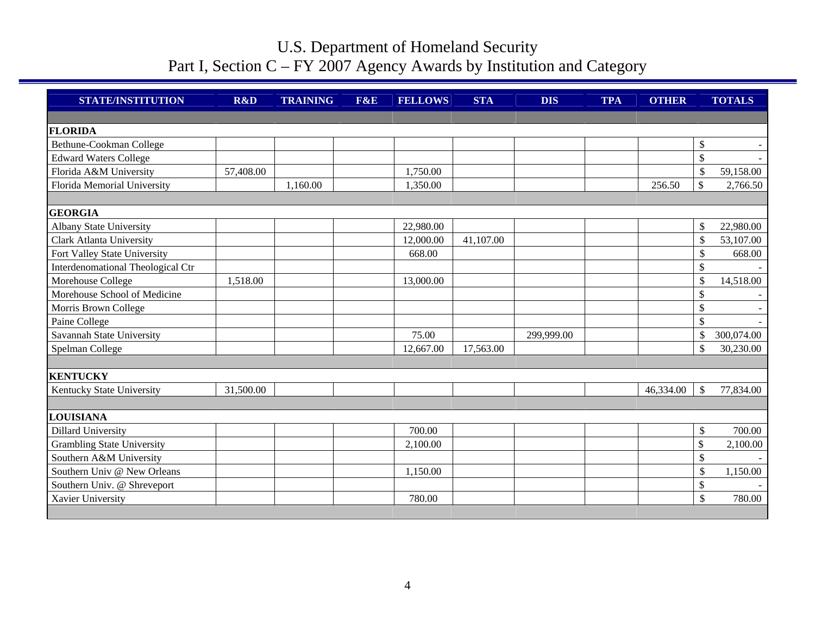| <b>STATE/INSTITUTION</b>          | R&D       | <b>TRAINING</b> | F&E | <b>FELLOWS</b> | <b>STA</b> | <b>DIS</b> | <b>TPA</b> | <b>OTHER</b> |               | <b>TOTALS</b> |
|-----------------------------------|-----------|-----------------|-----|----------------|------------|------------|------------|--------------|---------------|---------------|
|                                   |           |                 |     |                |            |            |            |              |               |               |
| <b>FLORIDA</b>                    |           |                 |     |                |            |            |            |              |               |               |
| Bethune-Cookman College           |           |                 |     |                |            |            |            |              | \$            |               |
| <b>Edward Waters College</b>      |           |                 |     |                |            |            |            |              | \$            |               |
| Florida A&M University            | 57,408.00 |                 |     | 1,750.00       |            |            |            |              | \$            | 59,158.00     |
| Florida Memorial University       |           | 1,160.00        |     | 1,350.00       |            |            |            | 256.50       | $\mathbb{S}$  | 2,766.50      |
|                                   |           |                 |     |                |            |            |            |              |               |               |
| <b>GEORGIA</b>                    |           |                 |     |                |            |            |            |              |               |               |
| <b>Albany State University</b>    |           |                 |     | 22,980.00      |            |            |            |              | \$            | 22,980.00     |
| <b>Clark Atlanta University</b>   |           |                 |     | 12,000.00      | 41,107.00  |            |            |              | \$            | 53,107.00     |
| Fort Valley State University      |           |                 |     | 668.00         |            |            |            |              | \$            | 668.00        |
| Interdenomational Theological Ctr |           |                 |     |                |            |            |            |              | \$            |               |
| Morehouse College                 | 1,518.00  |                 |     | 13,000.00      |            |            |            |              | $\mathbb{S}$  | 14,518.00     |
| Morehouse School of Medicine      |           |                 |     |                |            |            |            |              | \$            |               |
| Morris Brown College              |           |                 |     |                |            |            |            |              | \$            |               |
| Paine College                     |           |                 |     |                |            |            |            |              | \$            |               |
| Savannah State University         |           |                 |     | 75.00          |            | 299,999.00 |            |              | \$            | 300,074.00    |
| Spelman College                   |           |                 |     | 12,667.00      | 17,563.00  |            |            |              | \$            | 30,230.00     |
|                                   |           |                 |     |                |            |            |            |              |               |               |
| <b>KENTUCKY</b>                   |           |                 |     |                |            |            |            |              |               |               |
| Kentucky State University         | 31,500.00 |                 |     |                |            |            |            | 46,334.00    | $\mathcal{S}$ | 77,834.00     |
|                                   |           |                 |     |                |            |            |            |              |               |               |
| LOUISIANA                         |           |                 |     |                |            |            |            |              |               |               |
| <b>Dillard University</b>         |           |                 |     | 700.00         |            |            |            |              | \$            | 700.00        |
| <b>Grambling State University</b> |           |                 |     | 2,100.00       |            |            |            |              | \$            | 2,100.00      |
| Southern A&M University           |           |                 |     |                |            |            |            |              | \$            |               |
| Southern Univ @ New Orleans       |           |                 |     | 1,150.00       |            |            |            |              | \$            | 1,150.00      |
| Southern Univ. @ Shreveport       |           |                 |     |                |            |            |            |              | \$            |               |
| Xavier University                 |           |                 |     | 780.00         |            |            |            |              | \$            | 780.00        |
|                                   |           |                 |     |                |            |            |            |              |               |               |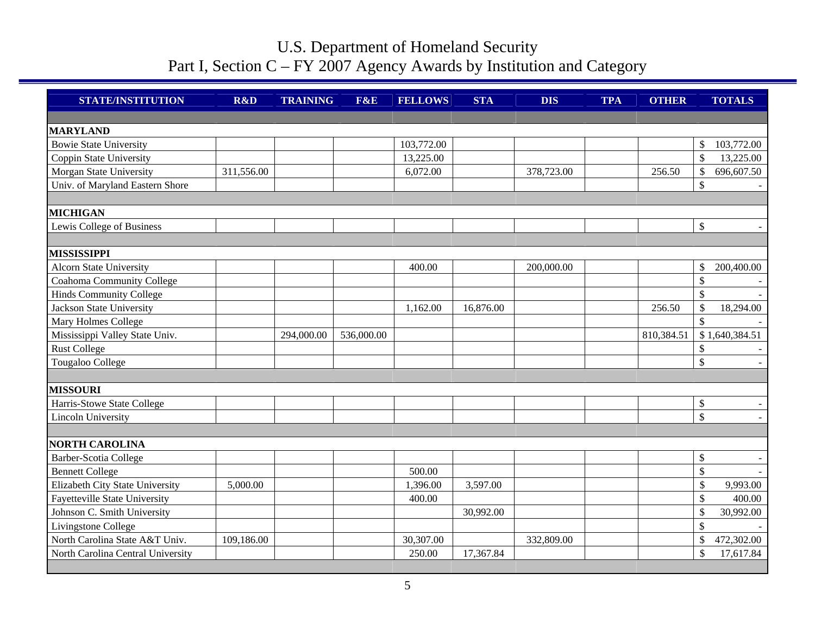| <b>STATE/INSTITUTION</b>          | R&D        | <b>TRAINING</b> | F&E        | <b>FELLOWS</b> | <b>STA</b> | <b>DIS</b> | <b>TPA</b> | <b>OTHER</b> | <b>TOTALS</b>                   |
|-----------------------------------|------------|-----------------|------------|----------------|------------|------------|------------|--------------|---------------------------------|
|                                   |            |                 |            |                |            |            |            |              |                                 |
| <b>MARYLAND</b>                   |            |                 |            |                |            |            |            |              |                                 |
| <b>Bowie State University</b>     |            |                 |            | 103,772.00     |            |            |            |              | \$<br>103,772.00                |
| Coppin State University           |            |                 |            | 13,225.00      |            |            |            |              | $\mathsf{\$}$<br>13,225.00      |
| Morgan State University           | 311,556.00 |                 |            | 6,072.00       |            | 378,723.00 |            | 256.50       | \$<br>696,607.50                |
| Univ. of Maryland Eastern Shore   |            |                 |            |                |            |            |            |              | \$                              |
|                                   |            |                 |            |                |            |            |            |              |                                 |
| <b>MICHIGAN</b>                   |            |                 |            |                |            |            |            |              |                                 |
| Lewis College of Business         |            |                 |            |                |            |            |            |              | $\mathbb{S}$                    |
|                                   |            |                 |            |                |            |            |            |              |                                 |
| <b>MISSISSIPPI</b>                |            |                 |            |                |            |            |            |              |                                 |
| <b>Alcorn State University</b>    |            |                 |            | 400.00         |            | 200,000.00 |            |              | \$<br>200,400.00                |
| Coahoma Community College         |            |                 |            |                |            |            |            |              | $\mathcal{S}$                   |
| Hinds Community College           |            |                 |            |                |            |            |            |              | $\mathcal{S}$                   |
| <b>Jackson State University</b>   |            |                 |            | 1,162.00       | 16,876.00  |            |            | 256.50       | \$<br>18,294.00                 |
| Mary Holmes College               |            |                 |            |                |            |            |            |              | $\mathcal{S}$                   |
| Mississippi Valley State Univ.    |            | 294,000.00      | 536,000.00 |                |            |            |            | 810,384.51   | \$1,640,384.51                  |
| <b>Rust College</b>               |            |                 |            |                |            |            |            |              | \$                              |
| Tougaloo College                  |            |                 |            |                |            |            |            |              | $\boldsymbol{\mathsf{S}}$       |
|                                   |            |                 |            |                |            |            |            |              |                                 |
| <b>MISSOURI</b>                   |            |                 |            |                |            |            |            |              |                                 |
| Harris-Stowe State College        |            |                 |            |                |            |            |            |              | $\boldsymbol{\mathsf{S}}$       |
| Lincoln University                |            |                 |            |                |            |            |            |              | $\mathsf{\$}$                   |
|                                   |            |                 |            |                |            |            |            |              |                                 |
| <b>NORTH CAROLINA</b>             |            |                 |            |                |            |            |            |              |                                 |
| Barber-Scotia College             |            |                 |            |                |            |            |            |              | \$                              |
| <b>Bennett College</b>            |            |                 |            | 500.00         |            |            |            |              | $\mathcal{S}$                   |
| Elizabeth City State University   | 5,000.00   |                 |            | 1,396.00       | 3,597.00   |            |            |              | \$<br>9,993.00                  |
| Fayetteville State University     |            |                 |            | 400.00         |            |            |            |              | $\mathbb{S}$<br>400.00          |
| Johnson C. Smith University       |            |                 |            |                | 30,992.00  |            |            |              | $\mathbf{\hat{S}}$<br>30,992.00 |
| Livingstone College               |            |                 |            |                |            |            |            |              | \$                              |
| North Carolina State A&T Univ.    | 109,186.00 |                 |            | 30,307.00      |            | 332,809.00 |            |              | \$<br>472,302.00                |
| North Carolina Central University |            |                 |            | 250.00         | 17,367.84  |            |            |              | $\mathsf{\$}$<br>17,617.84      |
|                                   |            |                 |            |                |            |            |            |              |                                 |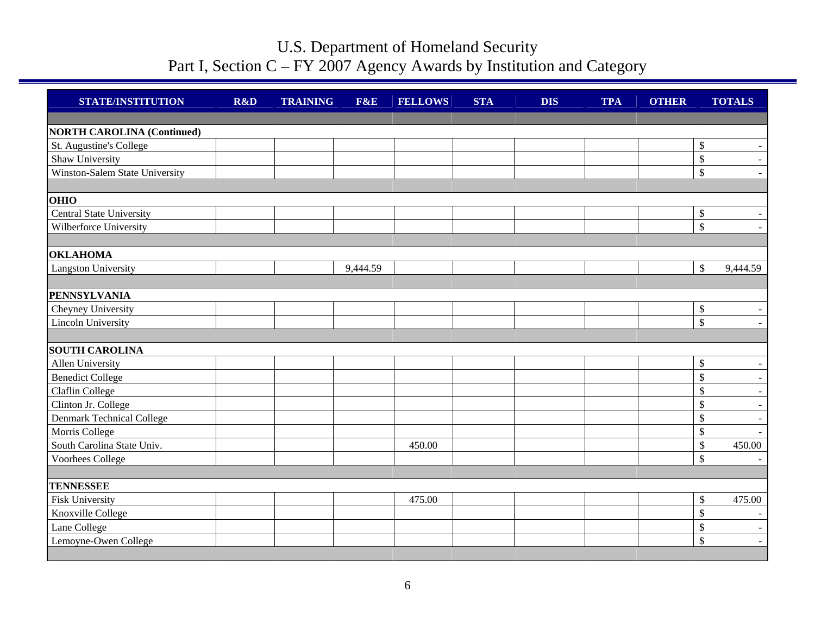| <b>STATE/INSTITUTION</b>          | R&D | <b>TRAINING</b> | F&E      | <b>FELLOWS</b> | <b>STA</b> | <b>DIS</b> | <b>TPA</b> | <b>OTHER</b> |                           | <b>TOTALS</b> |
|-----------------------------------|-----|-----------------|----------|----------------|------------|------------|------------|--------------|---------------------------|---------------|
|                                   |     |                 |          |                |            |            |            |              |                           |               |
| <b>NORTH CAROLINA (Continued)</b> |     |                 |          |                |            |            |            |              |                           |               |
| St. Augustine's College           |     |                 |          |                |            |            |            |              | $\$\,$                    |               |
| Shaw University                   |     |                 |          |                |            |            |            |              | $\mathcal{S}$             | $\sim$        |
| Winston-Salem State University    |     |                 |          |                |            |            |            |              | $\mathcal{S}$             |               |
|                                   |     |                 |          |                |            |            |            |              |                           |               |
| <b>OHIO</b>                       |     |                 |          |                |            |            |            |              |                           |               |
| <b>Central State University</b>   |     |                 |          |                |            |            |            |              | $\mathbb{S}$              |               |
| Wilberforce University            |     |                 |          |                |            |            |            |              | $\mathcal{S}$             |               |
|                                   |     |                 |          |                |            |            |            |              |                           |               |
| <b>OKLAHOMA</b>                   |     |                 |          |                |            |            |            |              |                           |               |
| <b>Langston University</b>        |     |                 | 9,444.59 |                |            |            |            |              | $\mathcal{S}$             | 9,444.59      |
| <b>PENNSYLVANIA</b>               |     |                 |          |                |            |            |            |              |                           |               |
| Cheyney University                |     |                 |          |                |            |            |            |              | $\$\,$                    |               |
| Lincoln University                |     |                 |          |                |            |            |            |              | $\mathcal{S}$             |               |
|                                   |     |                 |          |                |            |            |            |              |                           |               |
| <b>SOUTH CAROLINA</b>             |     |                 |          |                |            |            |            |              |                           |               |
| Allen University                  |     |                 |          |                |            |            |            |              | $\boldsymbol{\mathsf{S}}$ |               |
| <b>Benedict College</b>           |     |                 |          |                |            |            |            |              | $\mathcal{S}$             |               |
| Claflin College                   |     |                 |          |                |            |            |            |              | $\mathcal{S}$             |               |
| Clinton Jr. College               |     |                 |          |                |            |            |            |              | $\mathcal{S}$             |               |
| Denmark Technical College         |     |                 |          |                |            |            |            |              | $\mathcal{S}$             |               |
| Morris College                    |     |                 |          |                |            |            |            |              | $\mathbb{S}$              |               |
| South Carolina State Univ.        |     |                 |          | 450.00         |            |            |            |              | $\boldsymbol{\mathsf{S}}$ | 450.00        |
| Voorhees College                  |     |                 |          |                |            |            |            |              | $\mathcal{S}$             |               |
|                                   |     |                 |          |                |            |            |            |              |                           |               |
| <b>TENNESSEE</b>                  |     |                 |          |                |            |            |            |              |                           |               |
| <b>Fisk University</b>            |     |                 |          | 475.00         |            |            |            |              | $\boldsymbol{\mathsf{S}}$ | 475.00        |
| Knoxville College                 |     |                 |          |                |            |            |            |              | \$                        |               |
| Lane College                      |     |                 |          |                |            |            |            |              | $\$$                      |               |
| Lemoyne-Owen College              |     |                 |          |                |            |            |            |              | $\mathsf{\$}$             | $\sim$        |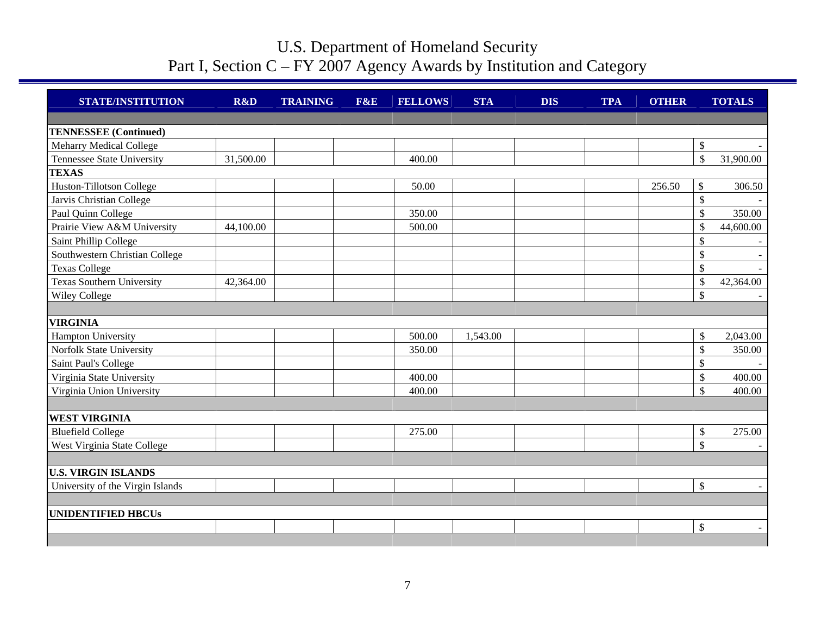| <b>STATE/INSTITUTION</b>          | R&D       | <b>TRAINING</b> | F&E | <b>FELLOWS</b> | <b>STA</b> | <b>DIS</b> | <b>TPA</b> | <b>OTHER</b> |                           | <b>TOTALS</b> |
|-----------------------------------|-----------|-----------------|-----|----------------|------------|------------|------------|--------------|---------------------------|---------------|
|                                   |           |                 |     |                |            |            |            |              |                           |               |
| <b>TENNESSEE</b> (Continued)      |           |                 |     |                |            |            |            |              |                           |               |
| Meharry Medical College           |           |                 |     |                |            |            |            |              | $\mathcal{S}$             |               |
| <b>Tennessee State University</b> | 31,500.00 |                 |     | 400.00         |            |            |            |              | $\mathcal{S}$             | 31,900.00     |
| <b>TEXAS</b>                      |           |                 |     |                |            |            |            |              |                           |               |
| Huston-Tillotson College          |           |                 |     | 50.00          |            |            |            | 256.50       | \$                        | 306.50        |
| Jarvis Christian College          |           |                 |     |                |            |            |            |              | \$                        |               |
| Paul Quinn College                |           |                 |     | 350.00         |            |            |            |              | $\mathcal{S}$             | 350.00        |
| Prairie View A&M University       | 44,100.00 |                 |     | 500.00         |            |            |            |              | $\mathcal{S}$             | 44,600.00     |
| Saint Phillip College             |           |                 |     |                |            |            |            |              | $\mathbb{S}$              |               |
| Southwestern Christian College    |           |                 |     |                |            |            |            |              | $\mathbb{S}$              |               |
| <b>Texas College</b>              |           |                 |     |                |            |            |            |              | $\mathbb{S}$              |               |
| <b>Texas Southern University</b>  | 42,364.00 |                 |     |                |            |            |            |              | $\mathcal{S}$             | 42,364.00     |
| <b>Wiley College</b>              |           |                 |     |                |            |            |            |              | $\mathcal{S}$             |               |
|                                   |           |                 |     |                |            |            |            |              |                           |               |
| <b>VIRGINIA</b>                   |           |                 |     |                |            |            |            |              |                           |               |
| <b>Hampton University</b>         |           |                 |     | 500.00         | 1,543.00   |            |            |              | $\boldsymbol{\mathsf{S}}$ | 2,043.00      |
| Norfolk State University          |           |                 |     | 350.00         |            |            |            |              | \$                        | 350.00        |
| Saint Paul's College              |           |                 |     |                |            |            |            |              | \$                        |               |
| Virginia State University         |           |                 |     | 400.00         |            |            |            |              | $\boldsymbol{\mathsf{S}}$ | 400.00        |
| Virginia Union University         |           |                 |     | 400.00         |            |            |            |              | $\mathcal{S}$             | 400.00        |
|                                   |           |                 |     |                |            |            |            |              |                           |               |
| <b>WEST VIRGINIA</b>              |           |                 |     |                |            |            |            |              |                           |               |
| <b>Bluefield College</b>          |           |                 |     | 275.00         |            |            |            |              | $\mathbb{S}$              | 275.00        |
| West Virginia State College       |           |                 |     |                |            |            |            |              | $\mathbb{S}$              |               |
|                                   |           |                 |     |                |            |            |            |              |                           |               |
| <b>U.S. VIRGIN ISLANDS</b>        |           |                 |     |                |            |            |            |              |                           |               |
| University of the Virgin Islands  |           |                 |     |                |            |            |            |              | $\mathcal{S}$             |               |
|                                   |           |                 |     |                |            |            |            |              |                           |               |
| <b>UNIDENTIFIED HBCUs</b>         |           |                 |     |                |            |            |            |              |                           |               |
|                                   |           |                 |     |                |            |            |            |              | $\boldsymbol{\mathsf{S}}$ |               |
|                                   |           |                 |     |                |            |            |            |              |                           |               |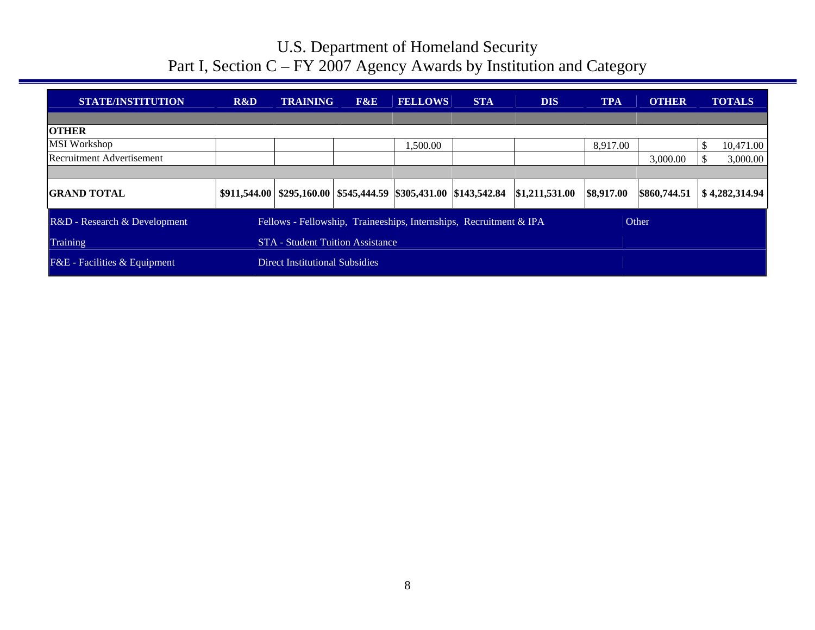| <b>STATE/INSTITUTION</b>                | R&D                                                                | <b>TRAINING</b>                                                                   | F&E | <b>FELLOWS</b> | <b>STA</b> | <b>DIS</b>     | <b>TPA</b> | <b>OTHER</b> | <b>TOTALS</b>  |
|-----------------------------------------|--------------------------------------------------------------------|-----------------------------------------------------------------------------------|-----|----------------|------------|----------------|------------|--------------|----------------|
|                                         |                                                                    |                                                                                   |     |                |            |                |            |              |                |
| <b>OTHER</b>                            |                                                                    |                                                                                   |     |                |            |                |            |              |                |
| <b>MSI Workshop</b>                     |                                                                    |                                                                                   |     | 1,500.00       |            |                | 8,917.00   |              | 10,471.00      |
| <b>Recruitment Advertisement</b>        |                                                                    |                                                                                   |     |                |            |                |            | 3,000.00     | 3,000.00       |
|                                         |                                                                    |                                                                                   |     |                |            |                |            |              |                |
| <b>GRAND TOTAL</b>                      |                                                                    | $$911,544.00 \mid $295,160.00 \mid $545,444.59 \mid $305,431.00 \mid $143,542.84$ |     |                |            | \$1,211,531.00 | \$8,917.00 | \$860,744.51 | \$4,282,314.94 |
| R&D - Research & Development            | Fellows - Fellowship, Traineeships, Internships, Recruitment & IPA |                                                                                   |     |                |            |                |            |              |                |
| Training                                |                                                                    | <b>STA</b> - Student Tuition Assistance                                           |     |                |            |                |            |              |                |
| <b>F&amp;E</b> - Facilities & Equipment |                                                                    | Direct Institutional Subsidies                                                    |     |                |            |                |            |              |                |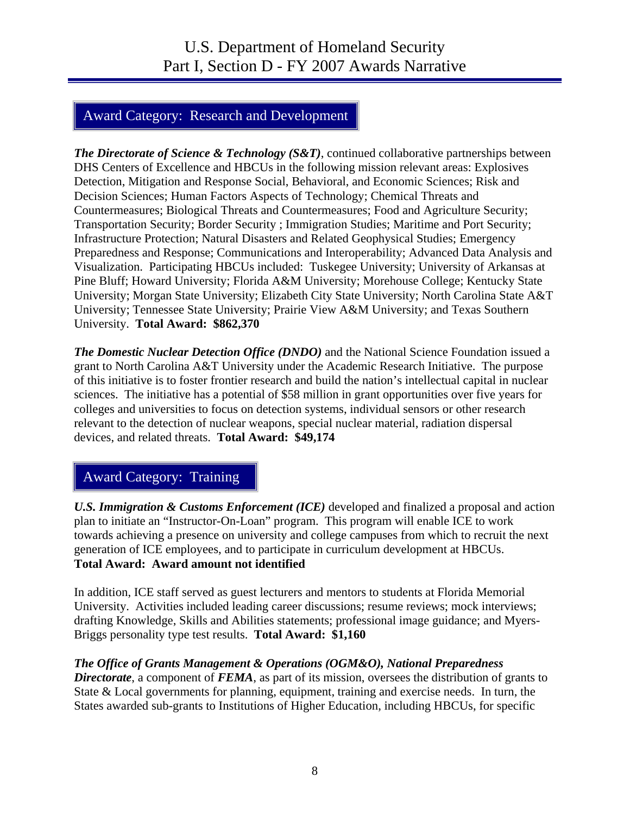## Award Category: Research and Development

*The Directorate of Science & Technology (S&T)*, continued collaborative partnerships between DHS Centers of Excellence and HBCUs in the following mission relevant areas: Explosives Detection, Mitigation and Response Social, Behavioral, and Economic Sciences; Risk and Decision Sciences; Human Factors Aspects of Technology; Chemical Threats and Countermeasures; Biological Threats and Countermeasures; Food and Agriculture Security; Transportation Security; Border Security ; Immigration Studies; Maritime and Port Security; Infrastructure Protection; Natural Disasters and Related Geophysical Studies; Emergency Preparedness and Response; Communications and Interoperability; Advanced Data Analysis and Visualization. Participating HBCUs included: Tuskegee University; University of Arkansas at Pine Bluff; Howard University; Florida A&M University; Morehouse College; Kentucky State University; Morgan State University; Elizabeth City State University; North Carolina State A&T University; Tennessee State University; Prairie View A&M University; and Texas Southern University. **Total Award: \$862,370** 

*The Domestic Nuclear Detection Office (DNDO)* and the National Science Foundation issued a grant to North Carolina A&T University under the Academic Research Initiative. The purpose of this initiative is to foster frontier research and build the nation's intellectual capital in nuclear sciences. The initiative has a potential of \$58 million in grant opportunities over five years for colleges and universities to focus on detection systems, individual sensors or other research relevant to the detection of nuclear weapons, special nuclear material, radiation dispersal devices, and related threats. **Total Award: \$49,174** 

## Award Category: Training

*U.S. Immigration & Customs Enforcement (ICE)* developed and finalized a proposal and action plan to initiate an "Instructor-On-Loan" program. This program will enable ICE to work towards achieving a presence on university and college campuses from which to recruit the next generation of ICE employees, and to participate in curriculum development at HBCUs. **Total Award: Award amount not identified** 

In addition, ICE staff served as guest lecturers and mentors to students at Florida Memorial University. Activities included leading career discussions; resume reviews; mock interviews; drafting Knowledge, Skills and Abilities statements; professional image guidance; and Myers-Briggs personality type test results. **Total Award: \$1,160** 

#### *The Office of Grants Management & Operations (OGM&O), National Preparedness*

*Directorate*, a component of *FEMA*, as part of its mission, oversees the distribution of grants to State & Local governments for planning, equipment, training and exercise needs. In turn, the States awarded sub-grants to Institutions of Higher Education, including HBCUs, for specific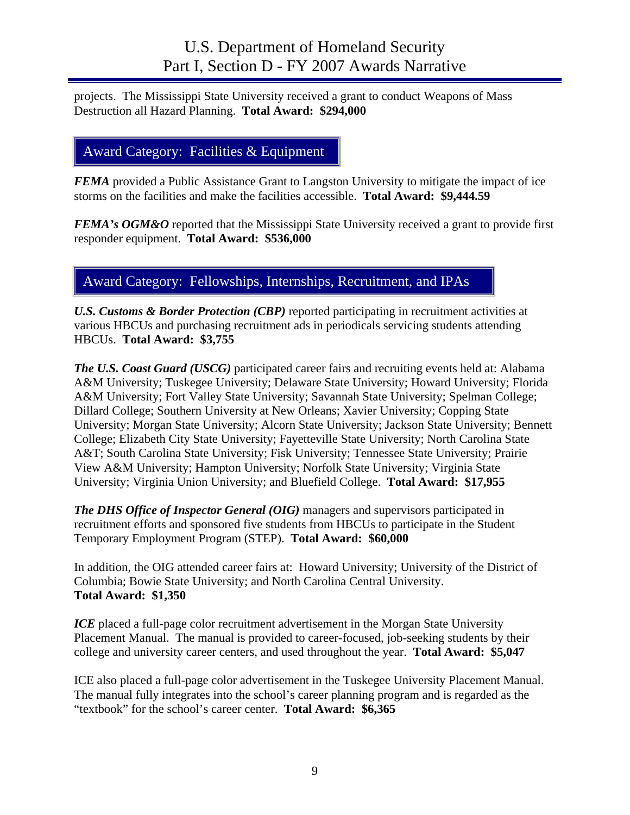projects. The Mississippi State University received a grant to conduct Weapons of Mass Destruction all Hazard Planning. **Total Award: \$294,000** 

## Award Category: Facilities & Equipment

*FEMA* provided a Public Assistance Grant to Langston University to mitigate the impact of ice storms on the facilities and make the facilities accessible. **Total Award: \$9,444.59** 

*FEMA's OGM&O* reported that the Mississippi State University received a grant to provide first responder equipment. **Total Award: \$536,000** 

### Award Category: Fellowships, Internships, Recruitment, and IPAs

*U.S. Customs & Border Protection (CBP)* reported participating in recruitment activities at various HBCUs and purchasing recruitment ads in periodicals servicing students attending HBCUs. **Total Award: \$3,755** 

*The U.S. Coast Guard (USCG)* participated career fairs and recruiting events held at: Alabama A&M University; Tuskegee University; Delaware State University; Howard University; Florida A&M University; Fort Valley State University; Savannah State University; Spelman College; Dillard College; Southern University at New Orleans; Xavier University; Copping State University; Morgan State University; Alcorn State University; Jackson State University; Bennett College; Elizabeth City State University; Fayetteville State University; North Carolina State A&T; South Carolina State University; Fisk University; Tennessee State University; Prairie View A&M University; Hampton University; Norfolk State University; Virginia State University; Virginia Union University; and Bluefield College. **Total Award: \$17,955** 

*The DHS Office of Inspector General (OIG)* managers and supervisors participated in recruitment efforts and sponsored five students from HBCUs to participate in the Student Temporary Employment Program (STEP). **Total Award: \$60,000**

In addition, the OIG attended career fairs at: Howard University; University of the District of Columbia; Bowie State University; and North Carolina Central University. **Total Award: \$1,350**

*ICE* placed a full-page color recruitment advertisement in the Morgan State University Placement Manual. The manual is provided to career-focused, job-seeking students by their college and university career centers, and used throughout the year. **Total Award: \$5,047**

ICE also placed a full-page color advertisement in the Tuskegee University Placement Manual. The manual fully integrates into the school's career planning program and is regarded as the "textbook" for the school's career center. **Total Award: \$6,365**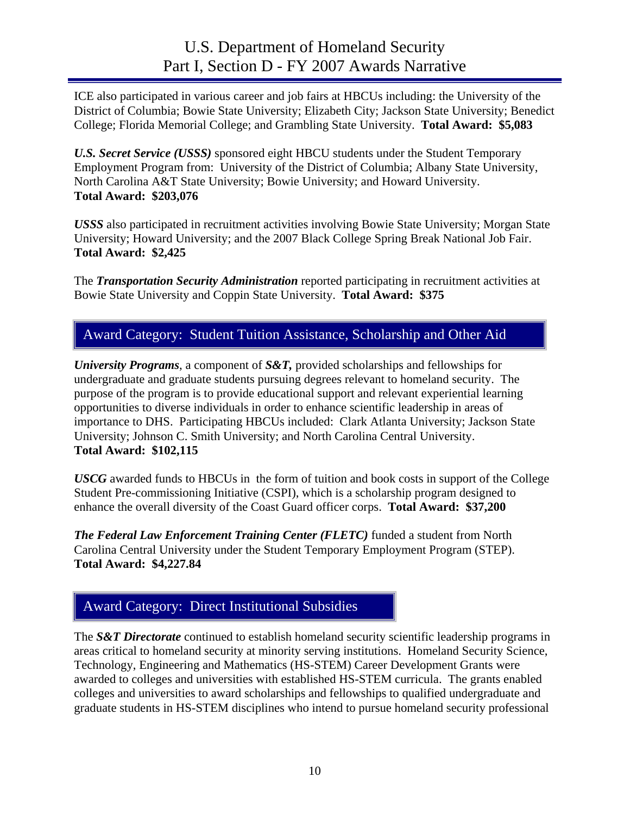ICE also participated in various career and job fairs at HBCUs including: the University of the District of Columbia; Bowie State University; Elizabeth City; Jackson State University; Benedict College; Florida Memorial College; and Grambling State University. **Total Award: \$5,083**

*U.S. Secret Service (USSS)* sponsored eight HBCU students under the Student Temporary Employment Program from: University of the District of Columbia; Albany State University, North Carolina A&T State University; Bowie University; and Howard University. **Total Award: \$203,076** 

*USSS* also participated in recruitment activities involving Bowie State University; Morgan State University; Howard University; and the 2007 Black College Spring Break National Job Fair. **Total Award: \$2,425** 

The *Transportation Security Administration* reported participating in recruitment activities at Bowie State University and Coppin State University. **Total Award: \$375** 

## Award Category: Student Tuition Assistance, Scholarship and Other Aid

*University Programs*, a component of *S&T*, provided scholarships and fellowships for undergraduate and graduate students pursuing degrees relevant to homeland security. The purpose of the program is to provide educational support and relevant experiential learning opportunities to diverse individuals in order to enhance scientific leadership in areas of importance to DHS. Participating HBCUs included: Clark Atlanta University; Jackson State University; Johnson C. Smith University; and North Carolina Central University. **Total Award: \$102,115** 

*USCG* awarded funds to HBCUs in the form of tuition and book costs in support of the College Student Pre-commissioning Initiative (CSPI), which is a scholarship program designed to enhance the overall diversity of the Coast Guard officer corps. **Total Award: \$37,200** 

*The Federal Law Enforcement Training Center (FLETC)* funded a student from North Carolina Central University under the Student Temporary Employment Program (STEP). **Total Award: \$4,227.84** 

### Award Category: Direct Institutional Subsidies

The *S&T Directorate* continued to establish homeland security scientific leadership programs in areas critical to homeland security at minority serving institutions. Homeland Security Science, Technology, Engineering and Mathematics (HS-STEM) Career Development Grants were awarded to colleges and universities with established HS-STEM curricula. The grants enabled colleges and universities to award scholarships and fellowships to qualified undergraduate and graduate students in HS-STEM disciplines who intend to pursue homeland security professional